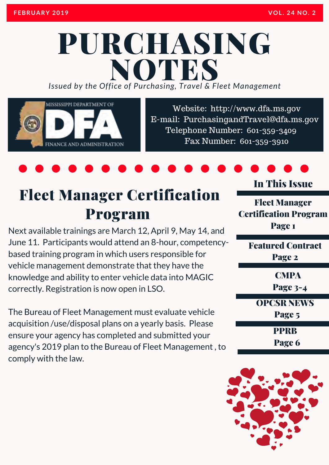# PURCHASING *Issued by the Office of Purchasing, Travel & Fleet Management* **NOTES**

MISSISSIPPI DEPARTMENT OF

FINANCE AND ADMINISTRATION

Website: http://www.dfa.ms.gov [E-mail: PurchasingandTravel@dfa.ms.gov](http://www.dfa.ms.gov/)  Telephone Number: 601-359-3409 Fax Number: 601-359-3910

### Fleet Manager Certification Program

Next available trainings are March 12, April 9, May 14, and June 11. Participants would attend an 8-hour, competencybased training program in which users responsible for vehicle management demonstrate that they have the knowledge and ability to enter vehicle data into MAGIC correctly. Registration is now open in LSO.

The Bureau of Fleet Management must evaluate vehicle acquisition /use/disposal plans on a yearly basis. Please ensure your agency has completed and submitted your agency's 2019 plan to the Bureau of Fleet Management , to comply with the law.

### In This Issue

Fleet Manager Certification Program Page 1

Featured Contract Page 2

**CMPA** 

Page 3-4

OPCSR NEWS

Page 5

PPRB

Page 6

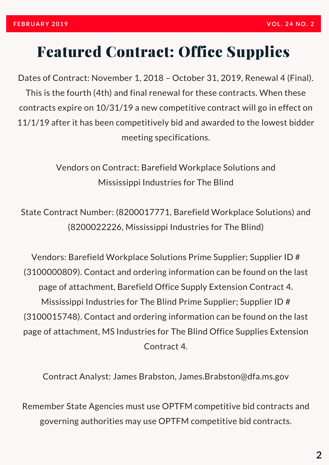### Featured Contract: Office Supplies

Dates of Contract: November 1, 2018 – October 31, 2019, Renewal 4 (Final). This is the fourth (4th) and final renewal for these contracts. When these contracts expire on 10/31/19 a new competitive contract will go in effect on 11/1/19 after it has been competitively bid and awarded to the lowest bidder meeting specifications.

> Vendors on Contract: Barefield Workplace Solutions and Mississippi Industries for The Blind

State Contract Number: (8200017771, Barefield Workplace Solutions) and (8200022226, Mississippi Industries for The Blind)

Vendors: Barefield Workplace Solutions Prime Supplier; Supplier ID # (3100000809). Contact and ordering information can be found on the last page of attachment, Barefield Office Supply Extension Contract 4. Mississippi Industries for The Blind Prime Supplier; Supplier ID # (3100015748). Contact and ordering information can be found on the last page of attachment, MS Industries for The Blind Office Supplies Extension Contract 4.

Contract Analyst: James Brabston, James.Brabston@dfa.ms.gov

Remember State Agencies must use OPTFM competitive bid contracts and governing authorities may use OPTFM competitive bid contracts.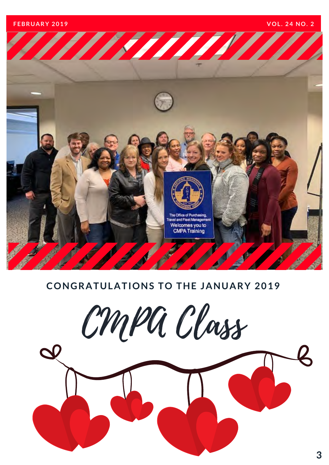**F E B R U A R Y 2 0 1 9 V O L . 2 4 N O . 2**



### **CONGRATULATIONS TO THE JANUARY 2019**

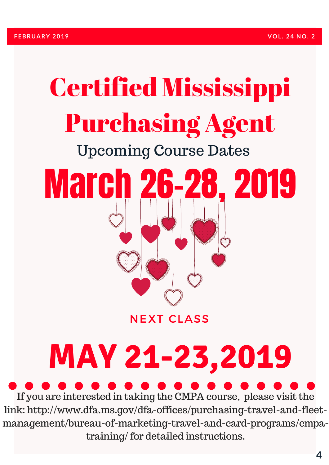# Certified Mississippi Purchasing Agent Upcoming Course Dates March 26-28, 2019

**NEXT CLASS** 

# **MAY 21-23,2019**

If you are interested in taking the CMPA course, please visit the link: http://www.dfa.ms.gov/dfa-offices/purchasing-travel-and-fleet[management/bureau-of-marketing-travel-and-card-programs/cmpa](http://www.dfa.ms.gov/dfa-offices/purchasing-travel-and-fleet-management/bureau-of-marketing-travel-and-card-programs/cmpa-training/)training/ for detailed instructions.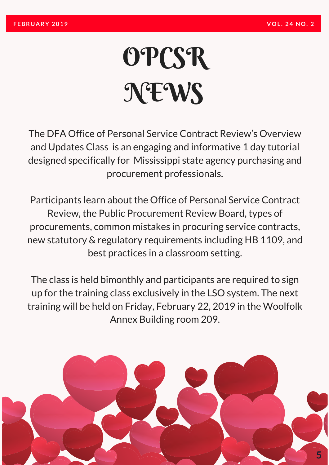# **OPCSR NEWS**

The DFA Office of Personal Service Contract Review's Overview and Updates Class is an engaging and informative 1 day tutorial designed specifically for Mississippi state agency purchasing and procurement professionals.

Participants learn about the Office of Personal Service Contract Review, the Public Procurement Review Board, types of procurements, common mistakes in procuring service contracts, new statutory & regulatory requirements including HB 1109, and best practices in a classroom setting.

The class is held bimonthly and participants are required to sign up for the training class exclusively in the LSO system. The next training will be held on Friday, February 22, 2019 in the Woolfolk Annex Building room 209.

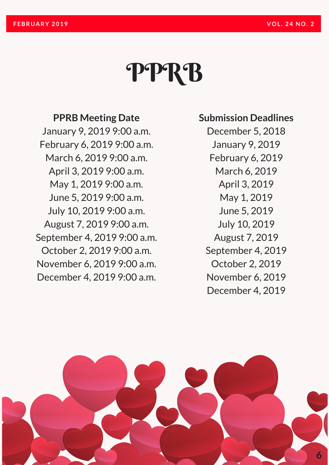# PPRB

### **PPRB Meeting Date**

January 9, 2019 9:00 a.m. February 6, 2019 9:00 a.m. March 6, 2019 9:00 a.m. April 3, 2019 9:00 a.m. May 1, 2019 9:00 a.m. June 5, 2019 9:00 a.m. July 10, 2019 9:00 a.m. August 7, 2019 9:00 a.m. September 4, 2019 9:00 a.m. October 2, 2019 9:00 a.m. November 6, 2019 9:00 a.m. December 4, 2019 9:00 a.m.

#### **Submission Deadlines**

December 5, 2018 January 9, 2019 February 6, 2019 March 6, 2019 April 3, 2019 May 1, 2019 June 5, 2019 July 10, 2019 August 7, 2019 September 4, 2019 October 2, 2019 November 6, 2019 December 4, 2019